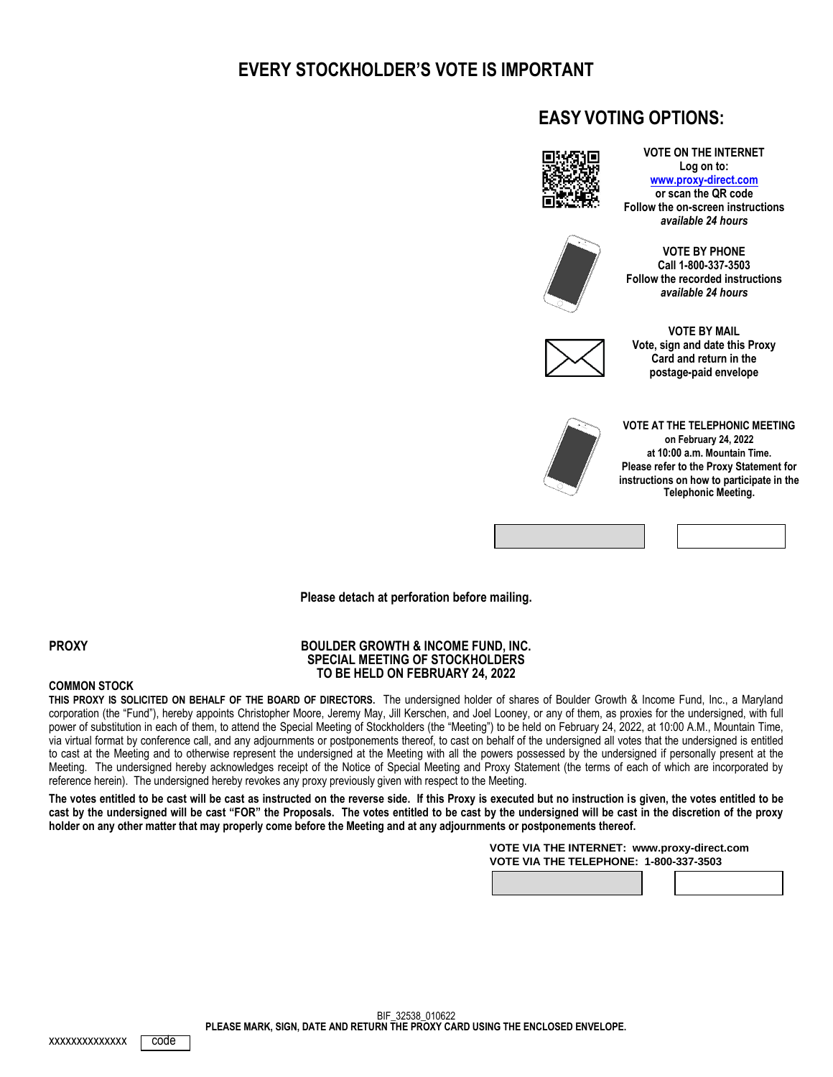# **EVERY STOCKHOLDER'S VOTE IS IMPORTANT**

## **EASY VOTING OPTIONS:**



**Log on to: [www.proxy-direct.com](http://www.proxy-direct.com/) or scan the QR code Follow the on-screen instructions** *available 24 hours*

**VOTE ON THE INTERNET**



**VOTE BY PHONE Call 1-800-337-3503 Follow the recorded instructions** *available 24 hours*



**VOTE BY MAIL Vote, sign and date this Proxy Card and return in the postage-paid envelope**



**VOTE AT THE TELEPHONIC MEETING on February 24, 2022 at 10:00 a.m. Mountain Time. Please refer to the Proxy Statement for instructions on how to participate in the Telephonic Meeting.**



**Please detach at perforation before mailing.**

**PROXY**

**COMMON STOCK**

#### **BOULDER GROWTH & INCOME FUND, INC. SPECIAL MEETING OF STOCKHOLDERS TO BE HELD ON FEBRUARY 24, 2022**

**THIS PROXY IS SOLICITED ON BEHALF OF THE BOARD OF DIRECTORS.** The undersigned holder of shares of Boulder Growth & Income Fund, Inc., a Maryland corporation (the "Fund"), hereby appoints Christopher Moore, Jeremy May, Jill Kerschen, and Joel Looney, or any of them, as proxies for the undersigned, with full power of substitution in each of them, to attend the Special Meeting of Stockholders (the "Meeting") to be held on February 24, 2022, at 10:00 A.M., Mountain Time, via virtual format by conference call, and any adjournments or postponements thereof, to cast on behalf of the undersigned all votes that the undersigned is entitled to cast at the Meeting and to otherwise represent the undersigned at the Meeting with all the powers possessed by the undersigned if personally present at the Meeting. The undersigned hereby acknowledges receipt of the Notice of Special Meeting and Proxy Statement (the terms of each of which are incorporated by reference herein). The undersigned hereby revokes any proxy previously given with respect to the Meeting.

**The votes entitled to be cast will be cast as instructed on the reverse side. If this Proxy is executed but no instruction is given, the votes entitled to be cast by the undersigned will be cast "FOR" the Proposals. The votes entitled to be cast by the undersigned will be cast in the discretion of the proxy holder on any other matter that may properly come before the Meeting and at any adjournments or postponements thereof.**

> **VOTE VIA THE INTERNET: www.proxy-direct.com VOTE VIA THE TELEPHONE: 1-800-337-3503**